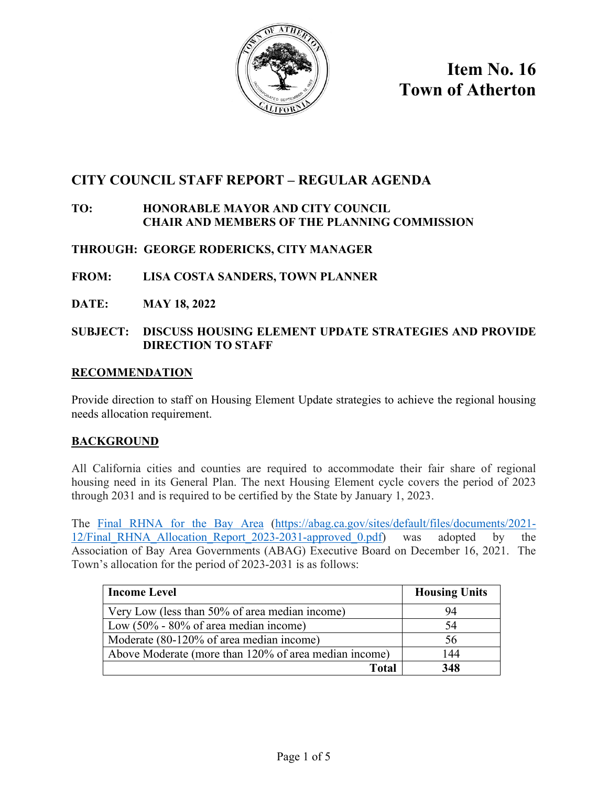

**Item No. 16 Town of Atherton** 

# **CITY COUNCIL STAFF REPORT – REGULAR AGENDA**

# **TO: HONORABLE MAYOR AND CITY COUNCIL CHAIR AND MEMBERS OF THE PLANNING COMMISSION**

# **THROUGH: GEORGE RODERICKS, CITY MANAGER**

- **FROM: LISA COSTA SANDERS, TOWN PLANNER**
- **DATE: MAY 18, 2022**

### **SUBJECT: DISCUSS HOUSING ELEMENT UPDATE STRATEGIES AND PROVIDE DIRECTION TO STAFF**

#### **RECOMMENDATION**

Provide direction to staff on Housing Element Update strategies to achieve the regional housing needs allocation requirement.

### **BACKGROUND**

All California cities and counties are required to accommodate their fair share of regional housing need in its General Plan. The next Housing Element cycle covers the period of 2023 through 2031 and is required to be certified by the State by January 1, 2023.

The [Final RHNA for the Bay Area \(https://abag.ca.gov/sites/default/files/documents/2021-](https://abag.ca.gov/sites/default/files/documents/2021-12/Final_RHNA_Allocation_Report_2023-2031-approved_0.pdf) [12/Final\\_RHNA\\_Allocation\\_Report\\_2023-2031-approved\\_0.pdf\)](https://abag.ca.gov/sites/default/files/documents/2021-12/Final_RHNA_Allocation_Report_2023-2031-approved_0.pdf) was adopted by the Association of Bay Area Governments (ABAG) Executive Board on December 16, 2021. The Town's allocation for the period of 2023-2031 is as follows:

| <b>Income Level</b>                                   | <b>Housing Units</b> |
|-------------------------------------------------------|----------------------|
| Very Low (less than 50% of area median income)        | 94                   |
| Low $(50\% - 80\% \text{ of area median income})$     | 54                   |
| Moderate (80-120% of area median income)              | 56                   |
| Above Moderate (more than 120% of area median income) | 144                  |
| Total                                                 | 348                  |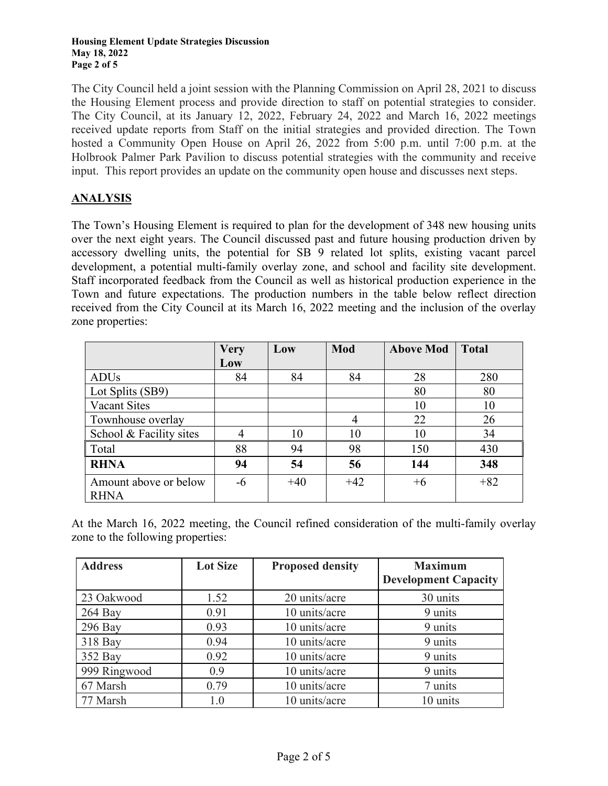#### **Housing Element Update Strategies Discussion May 18, 2022 Page 2 of 5**

The City Council held a joint session with the Planning Commission on April 28, 2021 to discuss the Housing Element process and provide direction to staff on potential strategies to consider. The City Council, at its January 12, 2022, February 24, 2022 and March 16, 2022 meetings received update reports from Staff on the initial strategies and provided direction. The Town hosted a Community Open House on April 26, 2022 from 5:00 p.m. until 7:00 p.m. at the Holbrook Palmer Park Pavilion to discuss potential strategies with the community and receive input. This report provides an update on the community open house and discusses next steps.

# **ANALYSIS**

The Town's Housing Element is required to plan for the development of 348 new housing units over the next eight years. The Council discussed past and future housing production driven by accessory dwelling units, the potential for SB 9 related lot splits, existing vacant parcel development, a potential multi-family overlay zone, and school and facility site development. Staff incorporated feedback from the Council as well as historical production experience in the Town and future expectations. The production numbers in the table below reflect direction received from the City Council at its March 16, 2022 meeting and the inclusion of the overlay zone properties:

|                                      | <b>Very</b> | Low   | Mod   | <b>Above Mod</b> | <b>Total</b> |
|--------------------------------------|-------------|-------|-------|------------------|--------------|
|                                      | Low         |       |       |                  |              |
| <b>ADUs</b>                          | 84          | 84    | 84    | 28               | 280          |
| Lot Splits (SB9)                     |             |       |       | 80               | 80           |
| Vacant Sites                         |             |       |       | 10               | 10           |
| Townhouse overlay                    |             |       | 4     | 22               | 26           |
| School & Facility sites              | 4           | 10    | 10    | 10               | 34           |
| Total                                | 88          | 94    | 98    | 150              | 430          |
| <b>RHNA</b>                          | 94          | 54    | 56    | 144              | 348          |
| Amount above or below<br><b>RHNA</b> | $-6$        | $+40$ | $+42$ | $+6$             | $+82$        |

At the March 16, 2022 meeting, the Council refined consideration of the multi-family overlay zone to the following properties:

| <b>Address</b> | <b>Lot Size</b> | <b>Maximum</b><br><b>Proposed density</b> |                             |
|----------------|-----------------|-------------------------------------------|-----------------------------|
|                |                 |                                           | <b>Development Capacity</b> |
| 23 Oakwood     | 1.52            | 20 units/acre                             | 30 units                    |
| $264$ Bay      | 0.91            | 10 units/acre                             | 9 units                     |
| $296$ Bay      | 0.93            | 10 units/acre                             | 9 units                     |
| 318 Bay        | 0.94            | 10 units/acre                             | 9 units                     |
| 352 Bay        | 0.92            | 10 units/acre                             | 9 units                     |
| 999 Ringwood   | 0.9             | 10 units/acre                             | 9 units                     |
| 67 Marsh       | 0.79            | 10 units/acre                             | 7 units                     |
| 77 Marsh       | 1.0             | 10 units/acre                             | 10 units                    |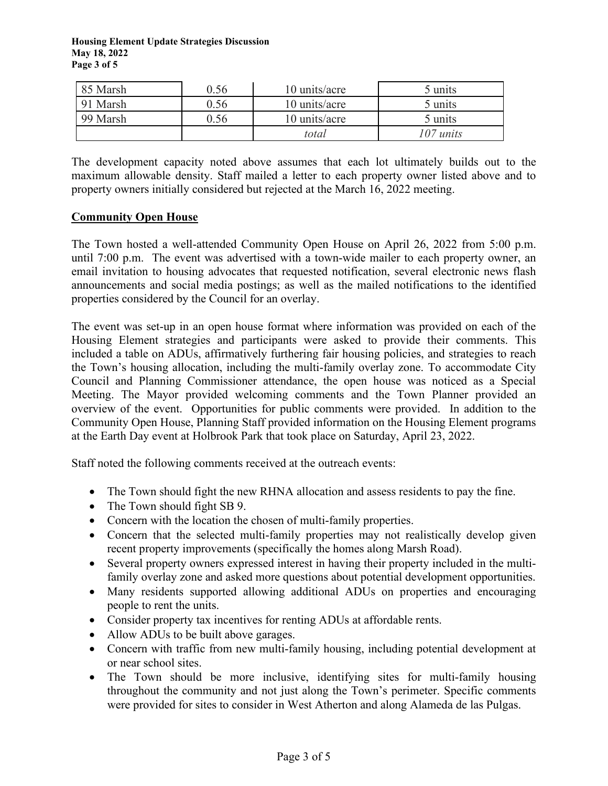**Housing Element Update Strategies Discussion May 18, 2022 Page 3 of 5** 

| 85 Marsh | 0.56 | 10 units/acre | 5 units            |
|----------|------|---------------|--------------------|
| 91 Marsh | ).56 | 10 units/acre | 5 units            |
| 99 Marsh | 0.56 | 10 units/acre | 5 units            |
|          |      | total         | $07 \text{ units}$ |

The development capacity noted above assumes that each lot ultimately builds out to the maximum allowable density. Staff mailed a letter to each property owner listed above and to property owners initially considered but rejected at the March 16, 2022 meeting.

#### **Community Open House**

The Town hosted a well-attended Community Open House on April 26, 2022 from 5:00 p.m. until 7:00 p.m. The event was advertised with a town-wide mailer to each property owner, an email invitation to housing advocates that requested notification, several electronic news flash announcements and social media postings; as well as the mailed notifications to the identified properties considered by the Council for an overlay.

The event was set-up in an open house format where information was provided on each of the Housing Element strategies and participants were asked to provide their comments. This included a table on ADUs, affirmatively furthering fair housing policies, and strategies to reach the Town's housing allocation, including the multi-family overlay zone. To accommodate City Council and Planning Commissioner attendance, the open house was noticed as a Special Meeting. The Mayor provided welcoming comments and the Town Planner provided an overview of the event. Opportunities for public comments were provided. In addition to the Community Open House, Planning Staff provided information on the Housing Element programs at the Earth Day event at Holbrook Park that took place on Saturday, April 23, 2022.

Staff noted the following comments received at the outreach events:

- The Town should fight the new RHNA allocation and assess residents to pay the fine.
- The Town should fight SB 9.
- Concern with the location the chosen of multi-family properties.
- Concern that the selected multi-family properties may not realistically develop given recent property improvements (specifically the homes along Marsh Road).
- Several property owners expressed interest in having their property included in the multifamily overlay zone and asked more questions about potential development opportunities.
- Many residents supported allowing additional ADUs on properties and encouraging people to rent the units.
- Consider property tax incentives for renting ADUs at affordable rents.
- Allow ADUs to be built above garages.
- Concern with traffic from new multi-family housing, including potential development at or near school sites.
- The Town should be more inclusive, identifying sites for multi-family housing throughout the community and not just along the Town's perimeter. Specific comments were provided for sites to consider in West Atherton and along Alameda de las Pulgas.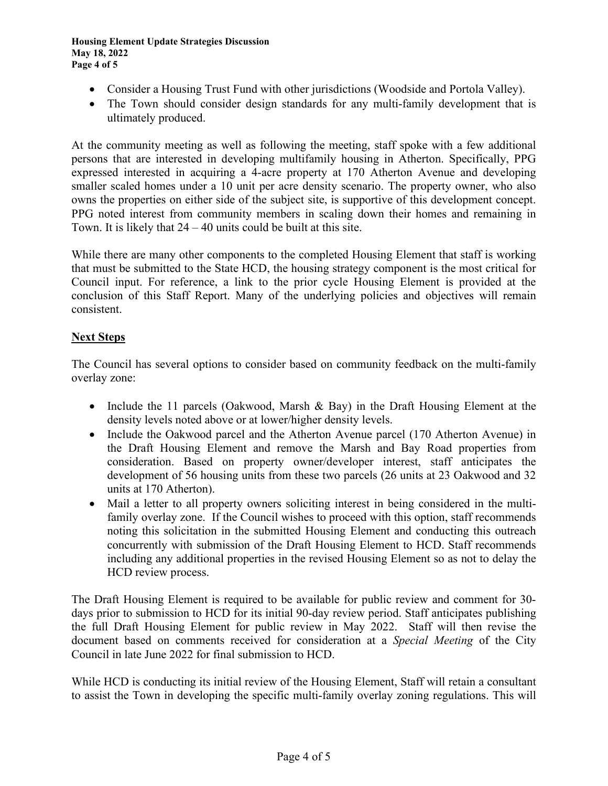- Consider a Housing Trust Fund with other jurisdictions (Woodside and Portola Valley).
- The Town should consider design standards for any multi-family development that is ultimately produced.

At the community meeting as well as following the meeting, staff spoke with a few additional persons that are interested in developing multifamily housing in Atherton. Specifically, PPG expressed interested in acquiring a 4-acre property at 170 Atherton Avenue and developing smaller scaled homes under a 10 unit per acre density scenario. The property owner, who also owns the properties on either side of the subject site, is supportive of this development concept. PPG noted interest from community members in scaling down their homes and remaining in Town. It is likely that  $24 - 40$  units could be built at this site.

While there are many other components to the completed Housing Element that staff is working that must be submitted to the State HCD, the housing strategy component is the most critical for Council input. For reference, a link to the prior cycle Housing Element is provided at the conclusion of this Staff Report. Many of the underlying policies and objectives will remain consistent.

# **Next Steps**

The Council has several options to consider based on community feedback on the multi-family overlay zone:

- Include the 11 parcels (Oakwood, Marsh & Bay) in the Draft Housing Element at the density levels noted above or at lower/higher density levels.
- Include the Oakwood parcel and the Atherton Avenue parcel (170 Atherton Avenue) in the Draft Housing Element and remove the Marsh and Bay Road properties from consideration. Based on property owner/developer interest, staff anticipates the development of 56 housing units from these two parcels (26 units at 23 Oakwood and 32 units at 170 Atherton).
- Mail a letter to all property owners soliciting interest in being considered in the multifamily overlay zone. If the Council wishes to proceed with this option, staff recommends noting this solicitation in the submitted Housing Element and conducting this outreach concurrently with submission of the Draft Housing Element to HCD. Staff recommends including any additional properties in the revised Housing Element so as not to delay the HCD review process.

The Draft Housing Element is required to be available for public review and comment for 30 days prior to submission to HCD for its initial 90-day review period. Staff anticipates publishing the full Draft Housing Element for public review in May 2022. Staff will then revise the document based on comments received for consideration at a *Special Meeting* of the City Council in late June 2022 for final submission to HCD.

While HCD is conducting its initial review of the Housing Element, Staff will retain a consultant to assist the Town in developing the specific multi-family overlay zoning regulations. This will